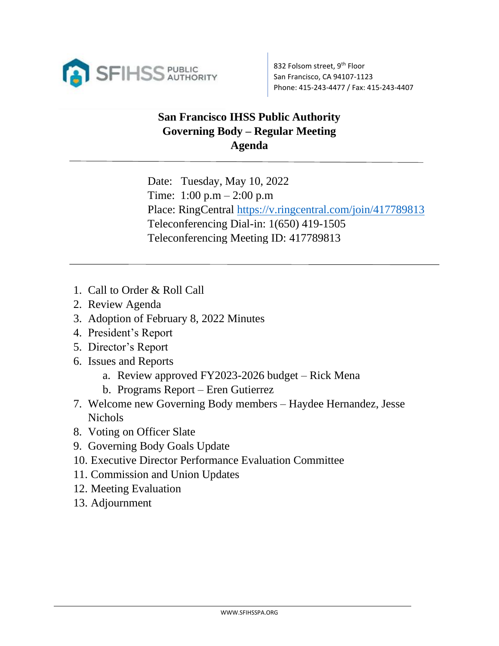

## **San Francisco IHSS Public Authority Governing Body – Regular Meeting Agenda**

Date: Tuesday, May 10, 2022 Time:  $1:00 \text{ p.m} - 2:00 \text{ p.m}$ Place: RingCentral<https://v.ringcentral.com/join/417789813> Teleconferencing Dial-in: 1(650) 419-1505 Teleconferencing Meeting ID: 417789813

- 1. Call to Order & Roll Call
- 2. Review Agenda
- 3. Adoption of February 8, 2022 Minutes
- 4. President's Report
- 5. Director's Report
- 6. Issues and Reports
	- a. Review approved FY2023-2026 budget Rick Mena
	- b. Programs Report Eren Gutierrez
- 7. Welcome new Governing Body members Haydee Hernandez, Jesse Nichols
- 8. Voting on Officer Slate
- 9. Governing Body Goals Update
- 10. Executive Director Performance Evaluation Committee
- 11. Commission and Union Updates
- 12. Meeting Evaluation
- 13. Adjournment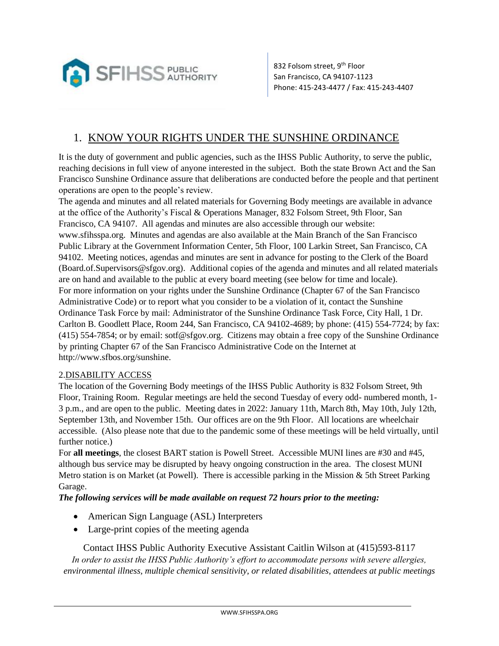

832 Folsom street, 9<sup>th</sup> Floor San Francisco, CA 94107-1123 Phone: 415-243-4477 / Fax: 415-243-4407

## 1. KNOW YOUR RIGHTS UNDER THE SUNSHINE ORDINANCE

It is the duty of government and public agencies, such as the IHSS Public Authority, to serve the public, reaching decisions in full view of anyone interested in the subject. Both the state Brown Act and the San Francisco Sunshine Ordinance assure that deliberations are conducted before the people and that pertinent operations are open to the people's review.

The agenda and minutes and all related materials for Governing Body meetings are available in advance at the office of the Authority's Fiscal & Operations Manager, 832 Folsom Street, 9th Floor, San Francisco, CA 94107. All agendas and minutes are also accessible through our website: www.sfihsspa.org. Minutes and agendas are also available at the Main Branch of the San Francisco Public Library at the Government Information Center, 5th Floor, 100 Larkin Street, San Francisco, CA 94102. Meeting notices, agendas and minutes are sent in advance for posting to the Clerk of the Board (Board.of.Supervisors@sfgov.org). Additional copies of the agenda and minutes and all related materials are on hand and available to the public at every board meeting (see below for time and locale). For more information on your rights under the Sunshine Ordinance (Chapter 67 of the San Francisco Administrative Code) or to report what you consider to be a violation of it, contact the Sunshine Ordinance Task Force by mail: Administrator of the Sunshine Ordinance Task Force, City Hall, 1 Dr. Carlton B. Goodlett Place, Room 244, San Francisco, CA 94102-4689; by phone: (415) 554-7724; by fax: (415) 554-7854; or by email: sotf@sfgov.org. Citizens may obtain a free copy of the Sunshine Ordinance by printing Chapter 67 of the San Francisco Administrative Code on the Internet at http://www.sfbos.org/sunshine.

## 2.DISABILITY ACCESS

The location of the Governing Body meetings of the IHSS Public Authority is 832 Folsom Street, 9th Floor, Training Room. Regular meetings are held the second Tuesday of every odd- numbered month, 1- 3 p.m., and are open to the public. Meeting dates in 2022: January 11th, March 8th, May 10th, July 12th, September 13th, and November 15th. Our offices are on the 9th Floor. All locations are wheelchair accessible. (Also please note that due to the pandemic some of these meetings will be held virtually, until further notice.)

For **all meetings**, the closest BART station is Powell Street. Accessible MUNI lines are #30 and #45, although bus service may be disrupted by heavy ongoing construction in the area. The closest MUNI Metro station is on Market (at Powell). There is accessible parking in the Mission & 5th Street Parking Garage.

*The following services will be made available on request 72 hours prior to the meeting:* 

- American Sign Language (ASL) Interpreters
- Large-print copies of the meeting agenda

Contact IHSS Public Authority Executive Assistant Caitlin Wilson at (415)593-8117 *In order to assist the IHSS Public Authority's effort to accommodate persons with severe allergies, environmental illness, multiple chemical sensitivity, or related disabilities, attendees at public meetings*